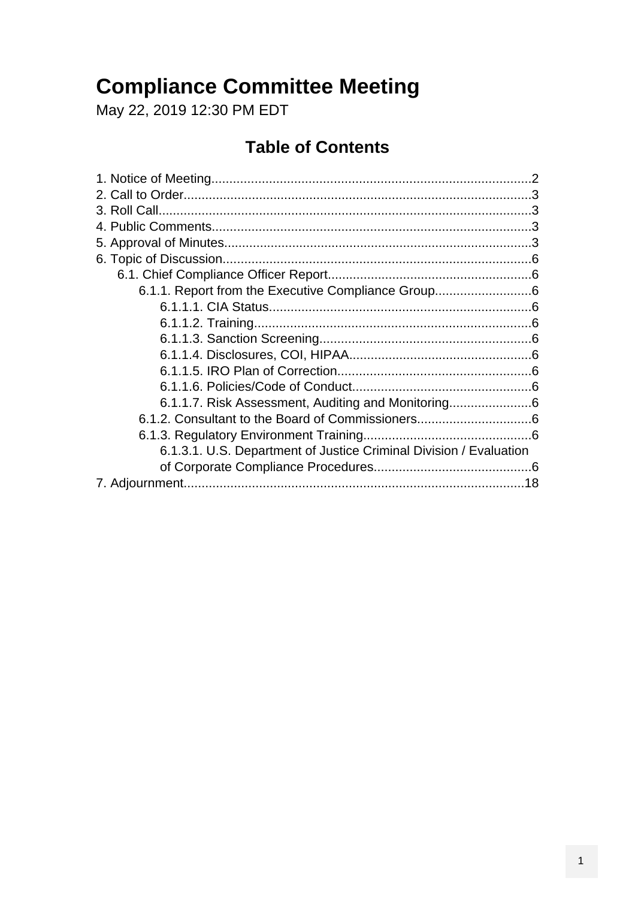### **Compliance Committee Meeting**

May 22, 2019 12:30 PM EDT

### **Table of Contents**

| 6.1.1. Report from the Executive Compliance Group6                 |  |
|--------------------------------------------------------------------|--|
|                                                                    |  |
|                                                                    |  |
|                                                                    |  |
|                                                                    |  |
|                                                                    |  |
|                                                                    |  |
| 6.1.1.7. Risk Assessment, Auditing and Monitoring                  |  |
|                                                                    |  |
|                                                                    |  |
| 6.1.3.1. U.S. Department of Justice Criminal Division / Evaluation |  |
|                                                                    |  |
|                                                                    |  |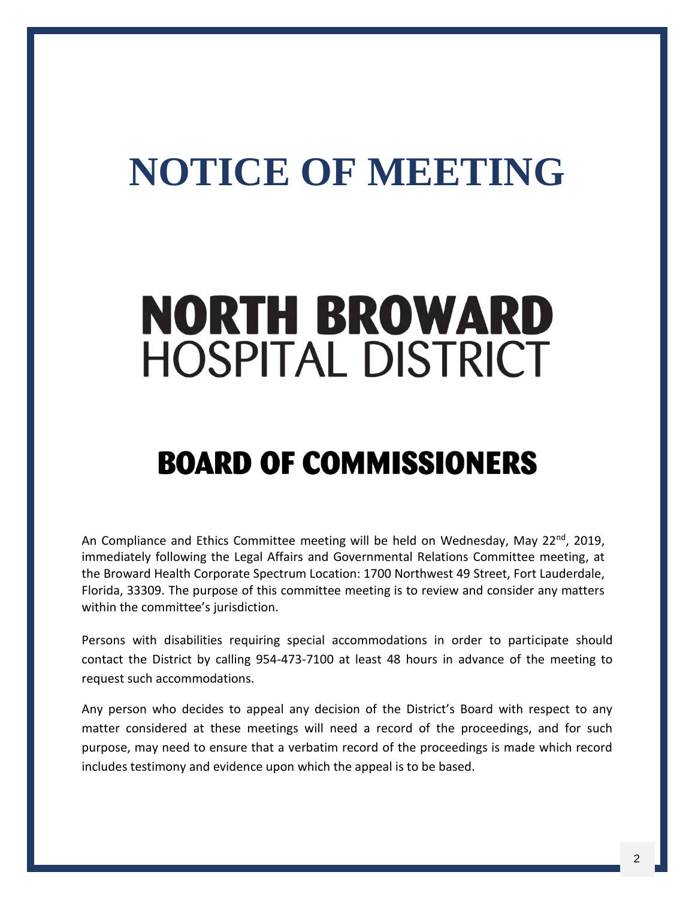# <span id="page-1-0"></span>**NOTICE OF MEETING**

# **NORTH BROWARD HOSPITAL DISTRICT**

## **BOARD OF COMMISSIONERS**

An Compliance and Ethics Committee meeting will be held on Wednesday, May 22<sup>nd</sup>, 2019, immediately following the Legal Affairs and Governmental Relations Committee meeting, at the Broward Health Corporate Spectrum Location: 1700 Northwest 49 Street, Fort Lauderdale, Florida, 33309. The purpose of this committee meeting is to review and consider any matters within the committee's jurisdiction.

Persons with disabilities requiring special accommodations in order to participate should contact the District by calling 954-473-7100 at least 48 hours in advance of the meeting to request such accommodations.

Any person who decides to appeal any decision of the District's Board with respect to any matter considered at these meetings will need a record of the proceedings, and for such purpose, may need to ensure that a verbatim record of the proceedings is made which record includes testimony and evidence upon which the appeal is to be based.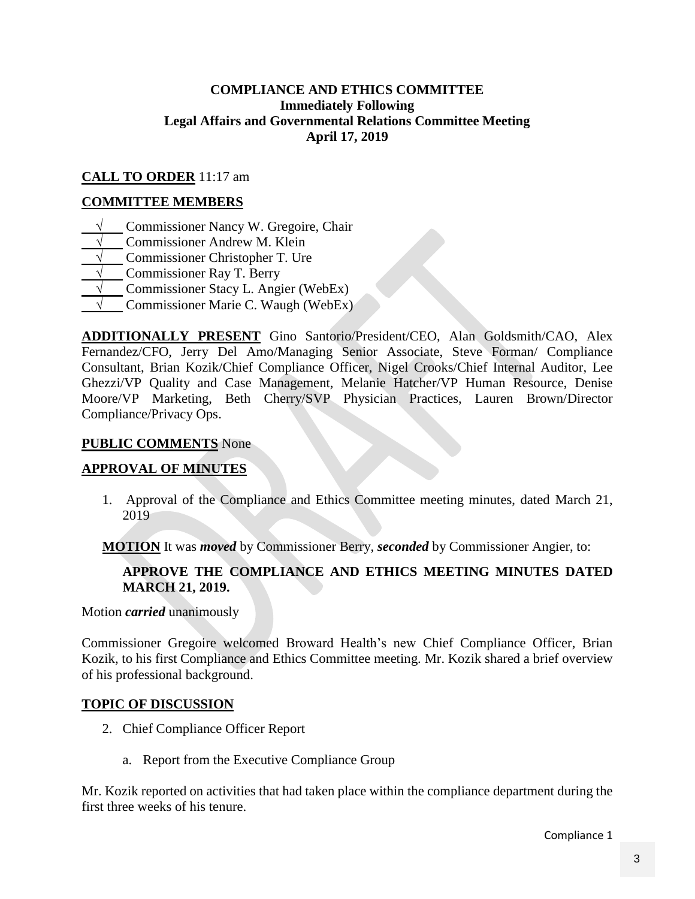#### **COMPLIANCE AND ETHICS COMMITTEE Immediately Following Legal Affairs and Governmental Relations Committee Meeting April 17, 2019**

#### <span id="page-2-0"></span>**CALL TO ORDER** 11:17 am

#### **COMMITTEE MEMBERS**

- **√** Commissioner Nancy W. Gregoire, Chair
- **Commissioner Andrew M. Klein**
- **Commissioner Christopher T. Ure**
- **√** Commissioner Ray T. Berry
- **√** Commissioner Stacy L. Angier (WebEx)
- **√** Commissioner Marie C. Waugh (WebEx)

**ADDITIONALLY PRESENT** Gino Santorio/President/CEO, Alan Goldsmith/CAO, Alex Fernandez/CFO, Jerry Del Amo/Managing Senior Associate, Steve Forman/ Compliance Consultant, Brian Kozik/Chief Compliance Officer, Nigel Crooks/Chief Internal Auditor, Lee Ghezzi/VP Quality and Case Management, Melanie Hatcher/VP Human Resource, Denise Moore/VP Marketing, Beth Cherry/SVP Physician Practices, Lauren Brown/Director Compliance/Privacy Ops.

#### **PUBLIC COMMENTS** None

#### **APPROVAL OF MINUTES**

1. Approval of the Compliance and Ethics Committee meeting minutes, dated March 21, 2019

**MOTION** It was *moved* by Commissioner Berry, *seconded* by Commissioner Angier, to:

#### **APPROVE THE COMPLIANCE AND ETHICS MEETING MINUTES DATED MARCH 21, 2019.**

Motion *carried* unanimously

Commissioner Gregoire welcomed Broward Health's new Chief Compliance Officer, Brian Kozik, to his first Compliance and Ethics Committee meeting. Mr. Kozik shared a brief overview of his professional background.

#### **TOPIC OF DISCUSSION**

- 2. Chief Compliance Officer Report
	- a. Report from the Executive Compliance Group

Mr. Kozik reported on activities that had taken place within the compliance department during the first three weeks of his tenure.

Compliance 1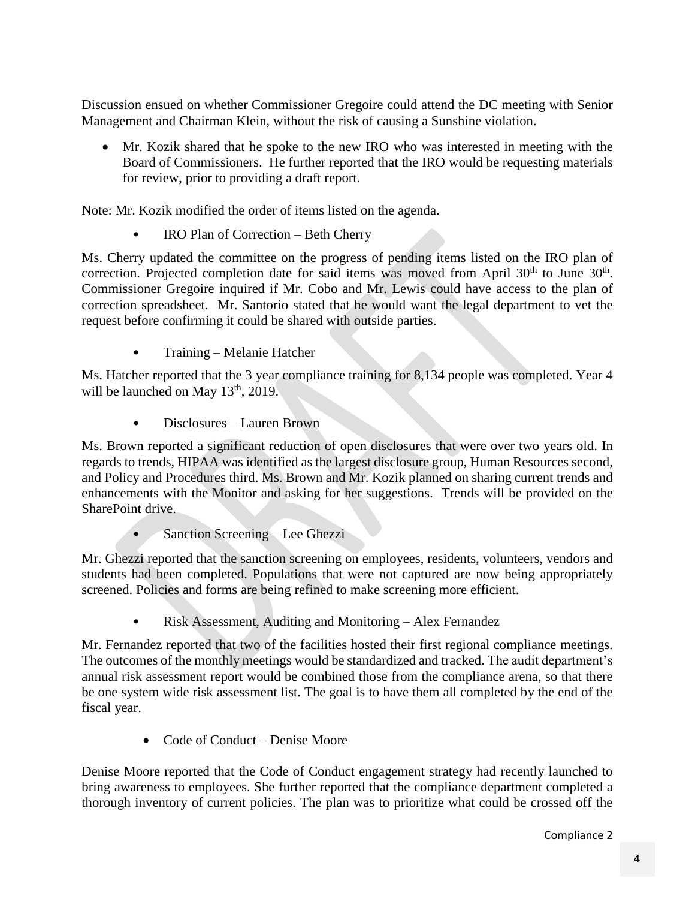Discussion ensued on whether Commissioner Gregoire could attend the DC meeting with Senior Management and Chairman Klein, without the risk of causing a Sunshine violation.

 Mr. Kozik shared that he spoke to the new IRO who was interested in meeting with the Board of Commissioners. He further reported that the IRO would be requesting materials for review, prior to providing a draft report.

Note: Mr. Kozik modified the order of items listed on the agenda.

IRO Plan of Correction – Beth Cherry

Ms. Cherry updated the committee on the progress of pending items listed on the IRO plan of correction. Projected completion date for said items was moved from April  $30<sup>th</sup>$  to June  $30<sup>th</sup>$ . Commissioner Gregoire inquired if Mr. Cobo and Mr. Lewis could have access to the plan of correction spreadsheet. Mr. Santorio stated that he would want the legal department to vet the request before confirming it could be shared with outside parties.

• Training – Melanie Hatcher

Ms. Hatcher reported that the 3 year compliance training for 8,134 people was completed. Year 4 will be launched on May  $13<sup>th</sup>$ , 2019.

• Disclosures – Lauren Brown

Ms. Brown reported a significant reduction of open disclosures that were over two years old. In regards to trends, HIPAA was identified as the largest disclosure group, Human Resources second, and Policy and Procedures third. Ms. Brown and Mr. Kozik planned on sharing current trends and enhancements with the Monitor and asking for her suggestions. Trends will be provided on the SharePoint drive.

• Sanction Screening – Lee Ghezzi

Mr. Ghezzi reported that the sanction screening on employees, residents, volunteers, vendors and students had been completed. Populations that were not captured are now being appropriately screened. Policies and forms are being refined to make screening more efficient.

• Risk Assessment, Auditing and Monitoring – Alex Fernandez

Mr. Fernandez reported that two of the facilities hosted their first regional compliance meetings. The outcomes of the monthly meetings would be standardized and tracked. The audit department's annual risk assessment report would be combined those from the compliance arena, so that there be one system wide risk assessment list. The goal is to have them all completed by the end of the fiscal year.

Code of Conduct – Denise Moore

Denise Moore reported that the Code of Conduct engagement strategy had recently launched to bring awareness to employees. She further reported that the compliance department completed a thorough inventory of current policies. The plan was to prioritize what could be crossed off the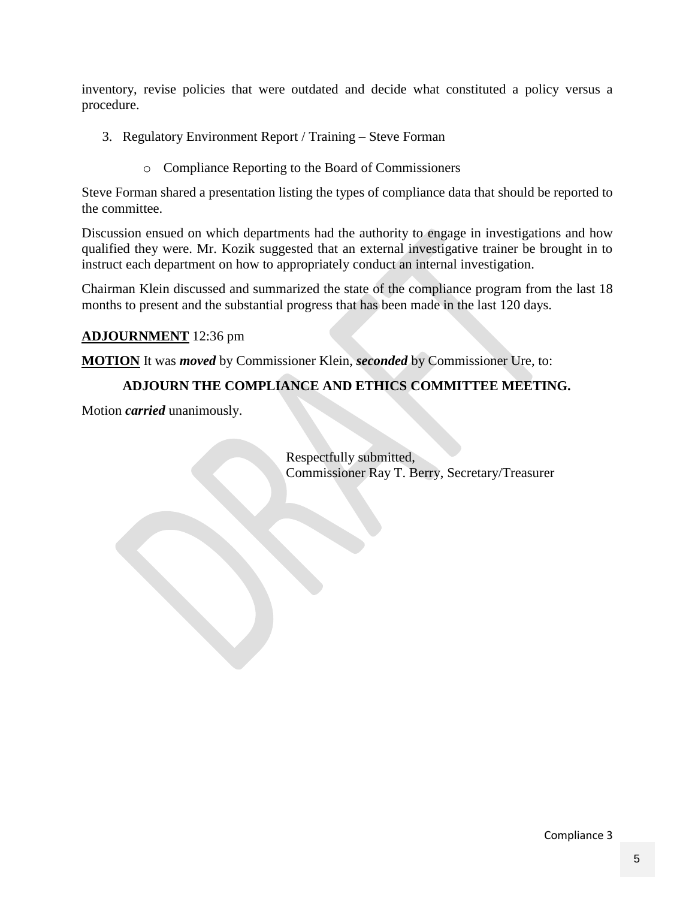inventory, revise policies that were outdated and decide what constituted a policy versus a procedure.

- 3. Regulatory Environment Report / Training Steve Forman
	- o Compliance Reporting to the Board of Commissioners

Steve Forman shared a presentation listing the types of compliance data that should be reported to the committee.

Discussion ensued on which departments had the authority to engage in investigations and how qualified they were. Mr. Kozik suggested that an external investigative trainer be brought in to instruct each department on how to appropriately conduct an internal investigation.

Chairman Klein discussed and summarized the state of the compliance program from the last 18 months to present and the substantial progress that has been made in the last 120 days.

#### **ADJOURNMENT** 12:36 pm

**MOTION** It was *moved* by Commissioner Klein, *seconded* by Commissioner Ure, to:

#### **ADJOURN THE COMPLIANCE AND ETHICS COMMITTEE MEETING.**

Motion *carried* unanimously.

Respectfully submitted, Commissioner Ray T. Berry, Secretary/Treasurer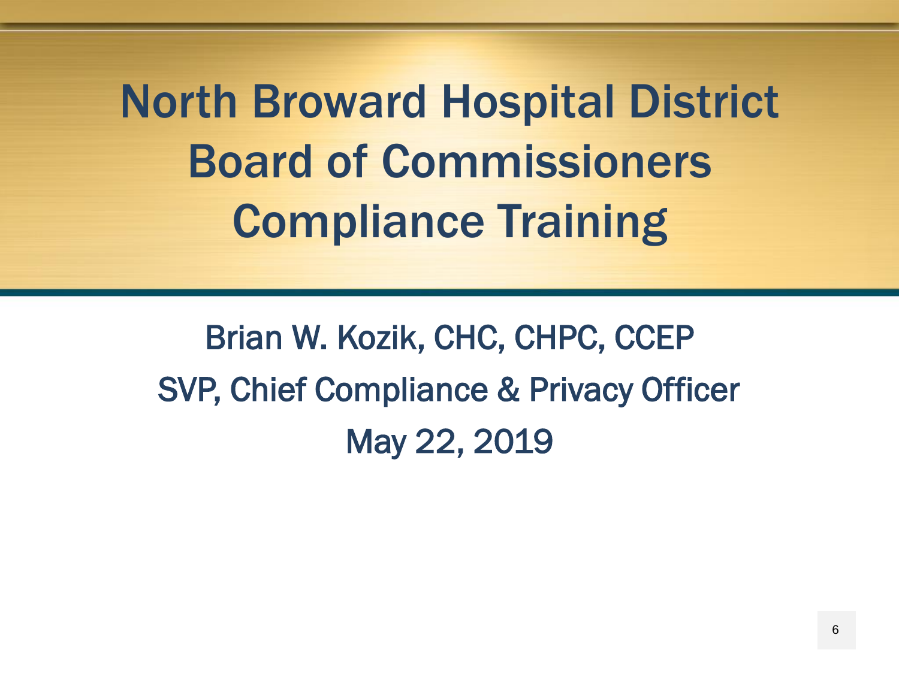North Broward Hospital District Board of Commissioners Compliance Training

<span id="page-5-0"></span>Brian W. Kozik, CHC, CHPC, CCEP SVP, Chief Compliance & Privacy Officer May 22, 2019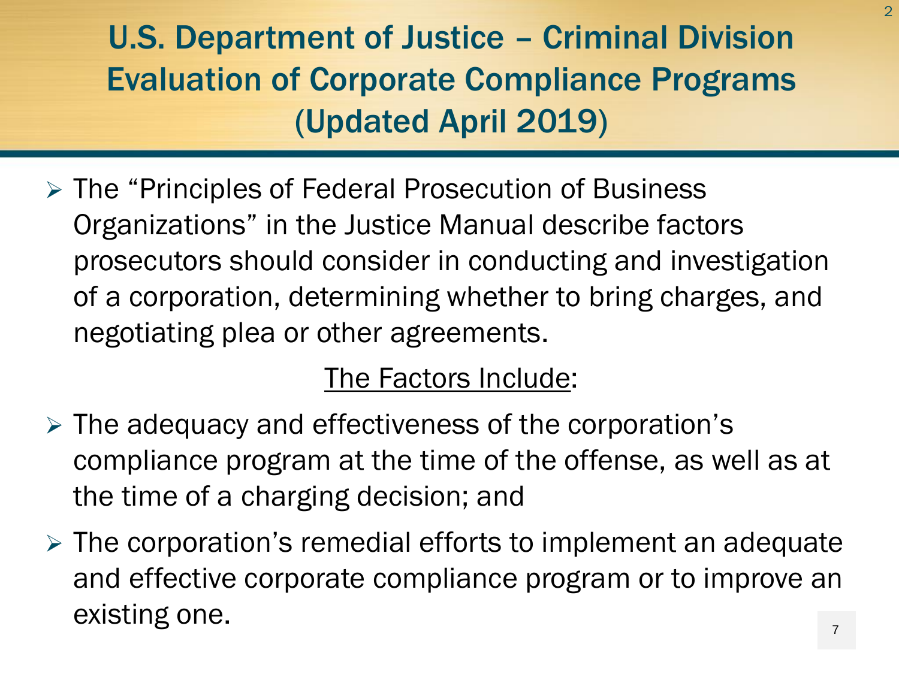U.S. Department of Justice – Criminal Division Evaluation of Corporate Compliance Programs (Updated April 2019)

 The "Principles of Federal Prosecution of Business Organizations" in the Justice Manual describe factors prosecutors should consider in conducting and investigation of a corporation, determining whether to bring charges, and negotiating plea or other agreements.

### The Factors Include:

- $\triangleright$  The adequacy and effectiveness of the corporation's compliance program at the time of the offense, as well as at the time of a charging decision; and
- $\triangleright$  The corporation's remedial efforts to implement an adequate and effective corporate compliance program or to improve an existing one.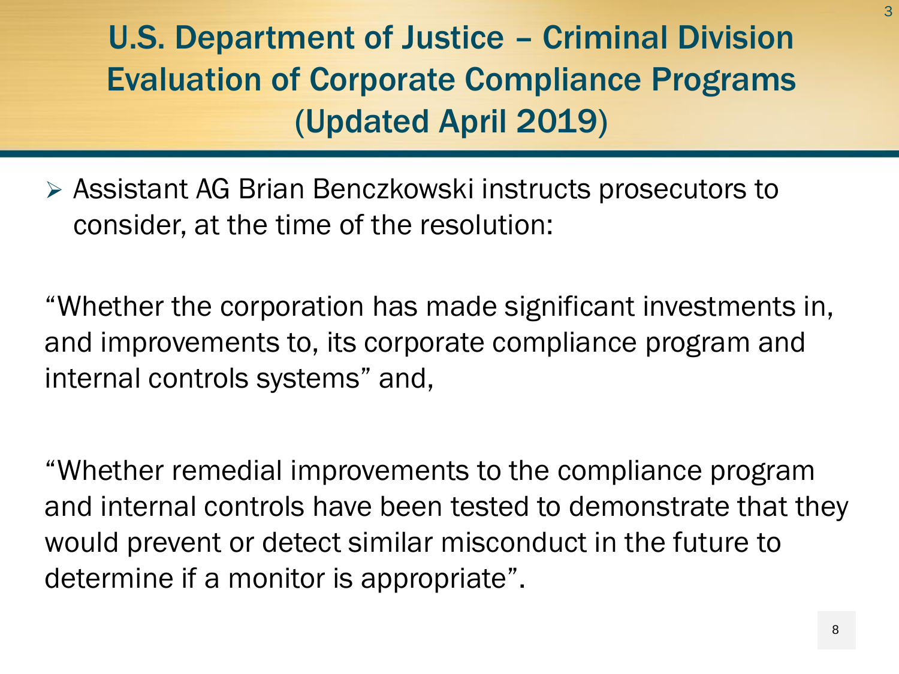U.S. Department of Justice – Criminal Division Evaluation of Corporate Compliance Programs (Updated April 2019)

 Assistant AG Brian Benczkowski instructs prosecutors to consider, at the time of the resolution:

"Whether the corporation has made significant investments in, and improvements to, its corporate compliance program and internal controls systems" and,

"Whether remedial improvements to the compliance program and internal controls have been tested to demonstrate that they would prevent or detect similar misconduct in the future to determine if a monitor is appropriate".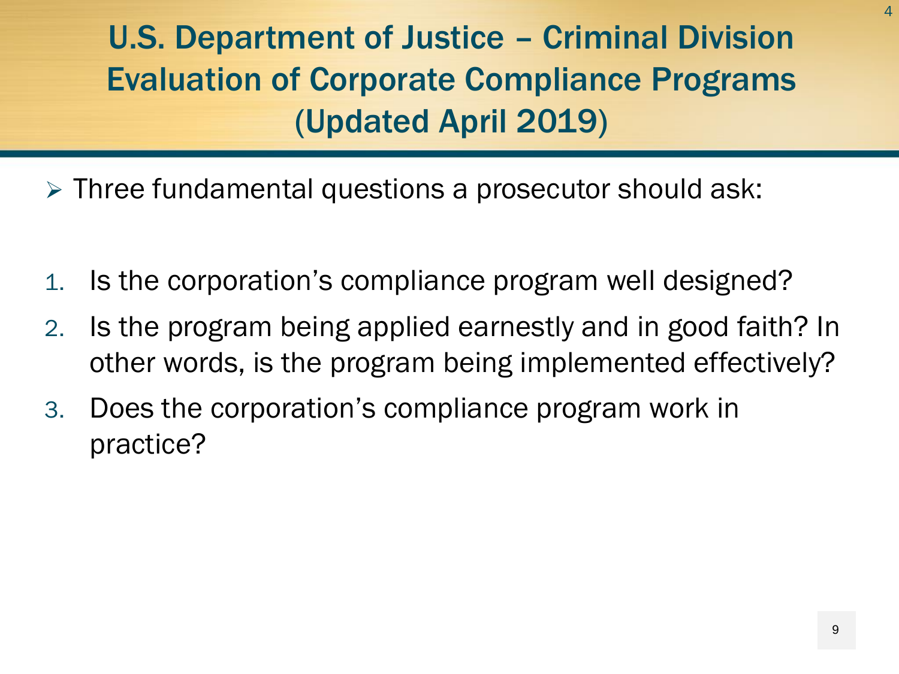U.S. Department of Justice – Criminal Division Evaluation of Corporate Compliance Programs (Updated April 2019)

- Three fundamental questions a prosecutor should ask:
- 1. Is the corporation's compliance program well designed?
- 2. Is the program being applied earnestly and in good faith? In other words, is the program being implemented effectively?
- 3. Does the corporation's compliance program work in practice?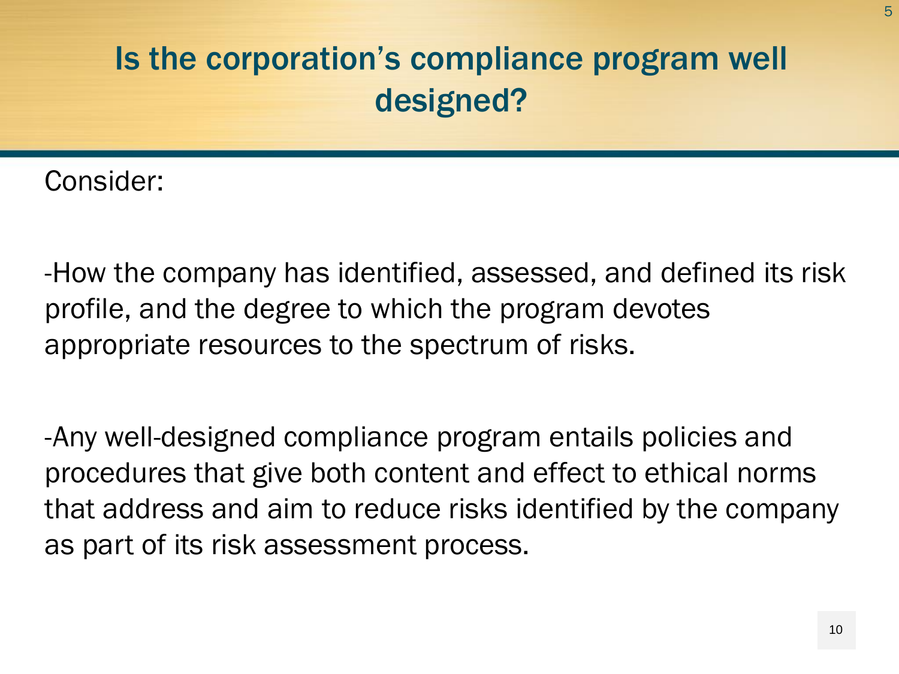### Is the corporation's compliance program well designed?

Consider:

-How the company has identified, assessed, and defined its risk profile, and the degree to which the program devotes appropriate resources to the spectrum of risks.

-Any well-designed compliance program entails policies and procedures that give both content and effect to ethical norms that address and aim to reduce risks identified by the company as part of its risk assessment process.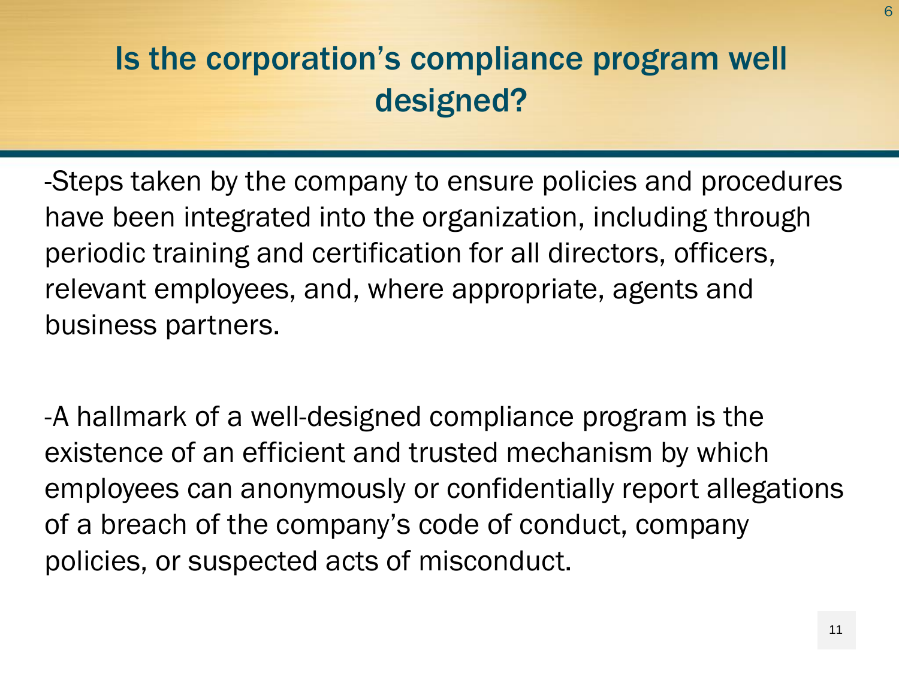### Is the corporation's compliance program well designed?

-Steps taken by the company to ensure policies and procedures have been integrated into the organization, including through periodic training and certification for all directors, officers, relevant employees, and, where appropriate, agents and business partners.

-A hallmark of a well-designed compliance program is the existence of an efficient and trusted mechanism by which employees can anonymously or confidentially report allegations of a breach of the company's code of conduct, company policies, or suspected acts of misconduct.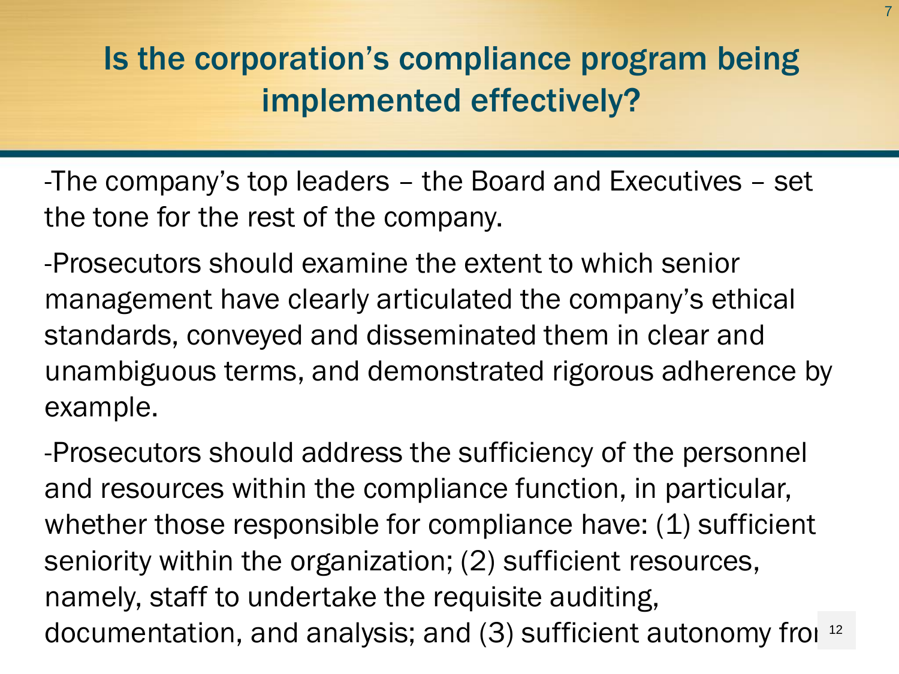### Is the corporation's compliance program being implemented effectively?

-The company's top leaders – the Board and Executives – set the tone for the rest of the company.

-Prosecutors should examine the extent to which senior management have clearly articulated the company's ethical standards, conveyed and disseminated them in clear and unambiguous terms, and demonstrated rigorous adherence by example.

-Prosecutors should address the sufficiency of the personnel and resources within the compliance function, in particular, whether those responsible for compliance have: (1) sufficient seniority within the organization; (2) sufficient resources, namely, staff to undertake the requisite auditing, documentation, and analysis; and  $(3)$  sufficient autonomy from  $12$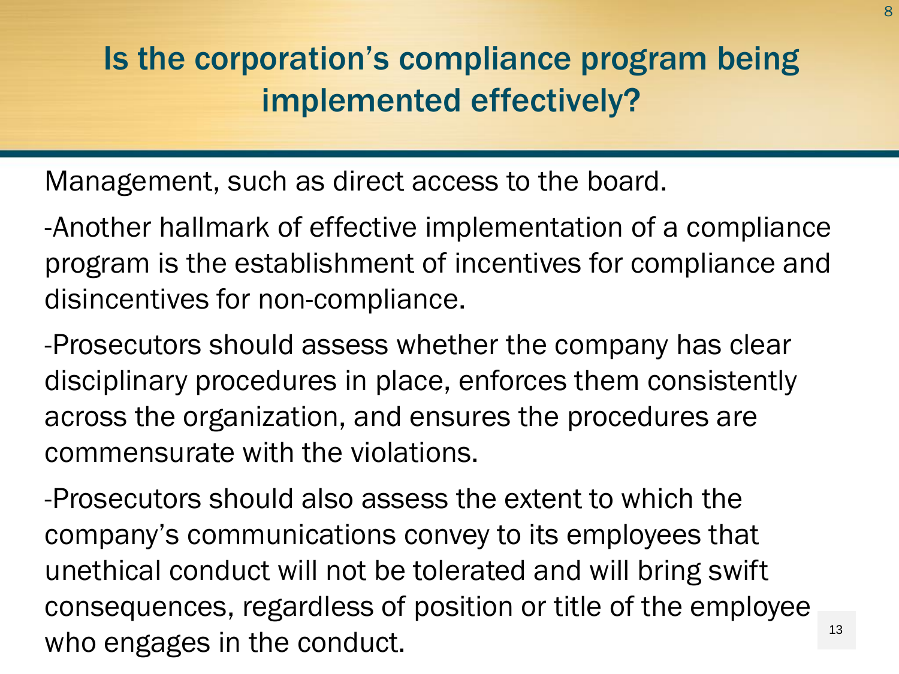## Is the corporation's compliance program being implemented effectively?

Management, such as direct access to the board.

-Another hallmark of effective implementation of a compliance program is the establishment of incentives for compliance and disincentives for non-compliance.

-Prosecutors should assess whether the company has clear disciplinary procedures in place, enforces them consistently across the organization, and ensures the procedures are commensurate with the violations.

-Prosecutors should also assess the extent to which the company's communications convey to its employees that unethical conduct will not be tolerated and will bring swift consequences, regardless of position or title of the employee who engages in the conduct.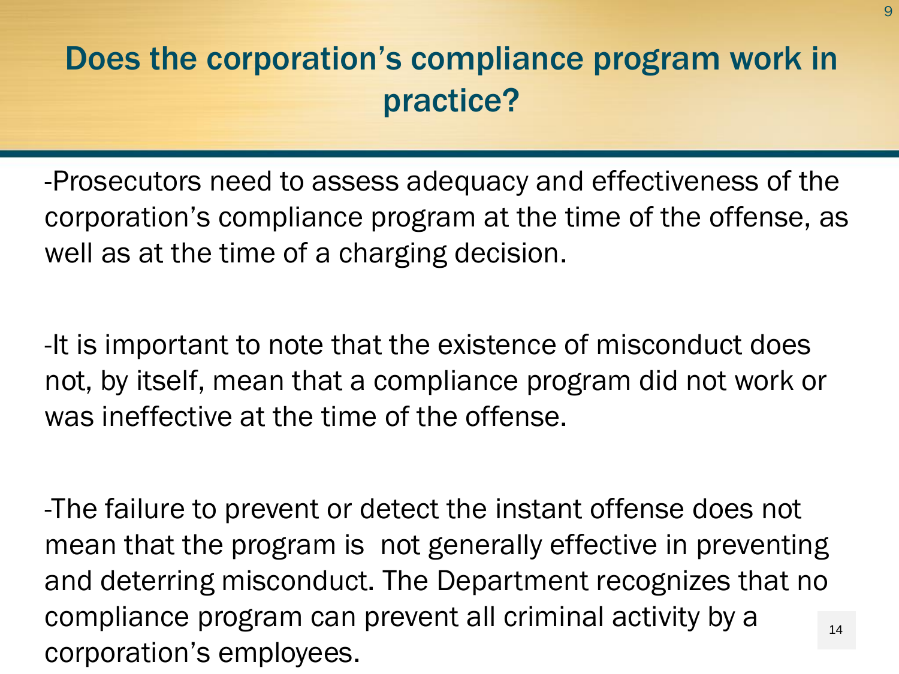-Prosecutors need to assess adequacy and effectiveness of the corporation's compliance program at the time of the offense, as well as at the time of a charging decision.

-It is important to note that the existence of misconduct does not, by itself, mean that a compliance program did not work or was ineffective at the time of the offense.

-The failure to prevent or detect the instant offense does not mean that the program is not generally effective in preventing and deterring misconduct. The Department recognizes that no compliance program can prevent all criminal activity by a corporation's employees. 14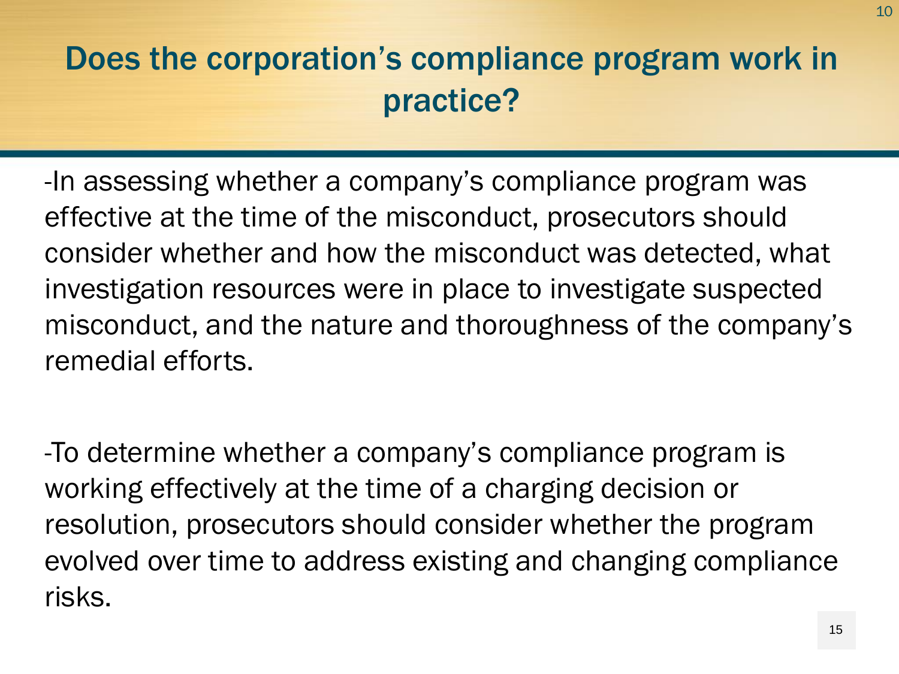-In assessing whether a company's compliance program was effective at the time of the misconduct, prosecutors should consider whether and how the misconduct was detected, what investigation resources were in place to investigate suspected misconduct, and the nature and thoroughness of the company's remedial efforts.

-To determine whether a company's compliance program is working effectively at the time of a charging decision or resolution, prosecutors should consider whether the program evolved over time to address existing and changing compliance risks.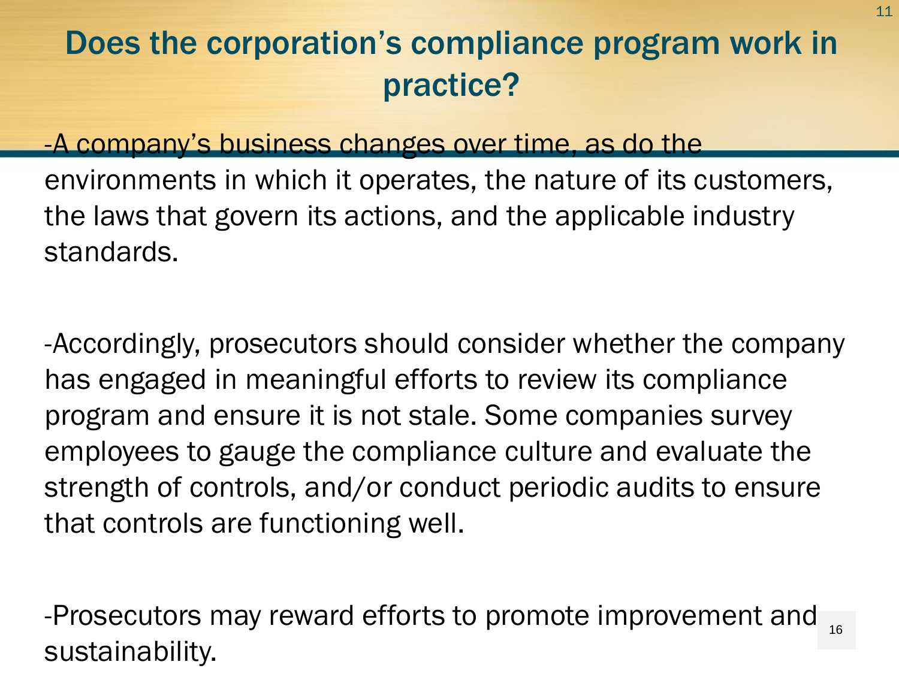### -A company's business changes over time, as do the

environments in which it operates, the nature of its customers, the laws that govern its actions, and the applicable industry standards.

-Accordingly, prosecutors should consider whether the company has engaged in meaningful efforts to review its compliance program and ensure it is not stale. Some companies survey employees to gauge the compliance culture and evaluate the strength of controls, and/or conduct periodic audits to ensure that controls are functioning well.

-Prosecutors may reward efforts to promote improvement and sustainability. 16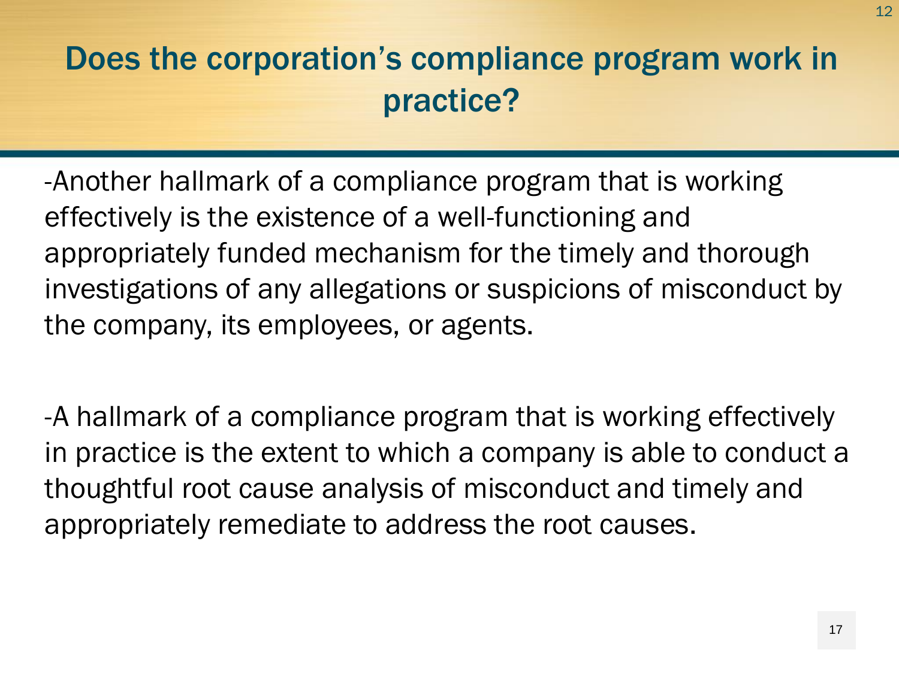-Another hallmark of a compliance program that is working effectively is the existence of a well-functioning and appropriately funded mechanism for the timely and thorough investigations of any allegations or suspicions of misconduct by the company, its employees, or agents.

-A hallmark of a compliance program that is working effectively in practice is the extent to which a company is able to conduct a thoughtful root cause analysis of misconduct and timely and appropriately remediate to address the root causes.